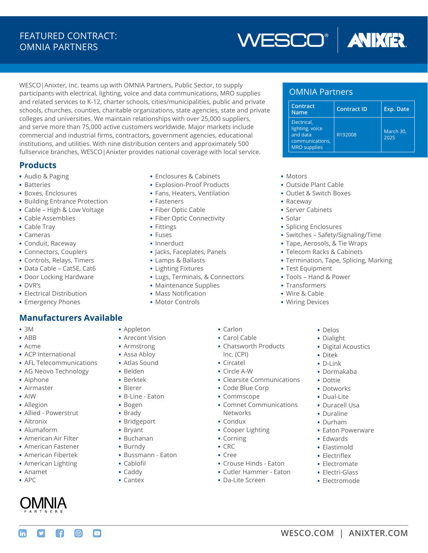## FEATURED CONTRACT: OMNIA PARTNERS



WESCO|Anixter, Inc. teams up with OMNIA Partners, Public Sector, to supply participants with electrical, lighting, voice and data communications, MRO supplies and related services to K-12, charter schools, cities/municipalities, public and private schools, churches, counties, charitable organizations, state agencies, state and private colleges and universities. We maintain relationships with over 25,000 suppliers, and serve more than 75,000 active customers worldwide. Major markets include commercial and industrial firms, contractors, government agencies, educational institutions, and utilities. With nine distribution centers and approximately 500 fullservice branches, WESCO|Anixter provides national coverage with local service.

### **Products**

- **•** Audio & Paging
- **•** Batteries
- **•** Boxes, Enclosures
- **•** Building Entrance Protection
- **•** Cable High & Low Voltage
- **•** Cable Assemblies
- **•** Cable Tray
- **•** Cameras
- **•** Conduit, Raceway
- **•** Connectors, Couplers
- **•** Controls, Relays, Timers
- **•** Data Cable Cat5E, Cat6
- **•** Door Locking Hardware
- **•** DVR's
- **•** Electrical Distribution
- **•** Emergency Phones

## **Manufacturers Available**

- **•** 3M
- **•** ABB
- **•** Acme
- **•** ACP International
- **•** AFL Telecommunications
- **•** AG Neovo Technology
- **•** Aiphone
- **•** Airmaster
- **•** AIW
- **•** Allegion
- **•** Allied Powerstrut
- **•** Altronix
- **•** Alumaform
- **•** American Air Filter
- **•** American Fastener
- **•** American Fibertek
- **•** American Lighting
- **•** Anamet
- **•** APC

m



 $\boxed{0}$ 

 $\bm \Xi$ 

A

- **•** Enclosures & Cabinets
- **•** Explosion-Proof Products
- **•** Fans, Heaters, Ventilation
- **•** Fasteners
- **•** Fiber Optic Cable
- **•** Fiber Optic Connectivity
- **•** Fittings
- **•** Fuses
- **•** Innerduct
- **•** Jacks, Faceplates, Panels
- **•** Lamps & Ballasts
- **•** Lighting Fixtures
- **•** Lugs, Terminals, & Connectors

**•** Carlon **•** Carol Cable

Inc. (CPI) **•** Circatel **•** Circle A-W

**•** Chatsworth Products

**•** Code Blue Corp **•** Commscope

**•** Cooper Lighting

**•** Da-Lite Screen

**•** Crouse Hinds - Eaton **•** Cutler Hammer - Eaton

Networks **•** Condux

**•** Corning **•** CRC **•** Cree

**•** Clearsite Communications

**•** Comnet Communications

- **•** Maintenance Supplies
- **•** Mass Notification
- **•** Motor Controls

### OMNIA Partners

| Contract<br><b>Name</b>                                                              | <b>Contract ID</b> | Exp. Date         |
|--------------------------------------------------------------------------------------|--------------------|-------------------|
| Electrical.<br>lighting, voice<br>and data<br>communications,<br><b>MRO</b> supplies | R192008            | March 30,<br>2025 |

- **•** Motors
- **•** Outside Plant Cable
- **•** Outlet & Switch Boxes
- **•** Raceway
- **•** Server Cabinets
- **•** Solar
- **•** Splicing Enclosures
- **•** Switches Safety/Signaling/Time
- **•** Tape, Aerosols, & Tie Wraps
- **•** Telecom Racks & Cabinets
- **•** Termination, Tape, Splicing, Marking
- **•** Test Equipment
- **•** Tools Hand & Power
- **•** Transformers
- **•** Wire & Cable
- **•** Wiring Devices
	- **•** Delos
	- **•** Dialight
	- **•** Digital Acoustics
	- **•** Ditek
	- **•** D-Link
	- **•** Dormakaba
	- **•** Dottie
	- **•** Dotworks
	- **•** Dual-Lite
	- **•** Duracell Usa
	- **•** Duraline
	- **•** Durham
	- **•** Eaton Powerware
	- **•** Edwards
	- **•** Elastimold
	- **•** Electriflex
	- **•** Electromate
	- **•** Electri-Glass
	- **•** Electromode
- **[WESCO.COM](https://www.wesco.com/) | [ANIXTER.COM](https://www.anixter.com/)**
- **•** Appleton
	-
- **•** Arecont Vision
- **•** Armstrong
- **•** Assa Abloy **•** Atlas Sound

**•** B-Line - Eaton **•** Bogen **•** Brady **•** Bridgeport **•** Bryant **•** Buchanan **•** Burndy

**•** Bussmann - Eaton

**•** Cablofil **•** Caddy **•** Cantex

**•** Belden **•** Berktek **•** Bierer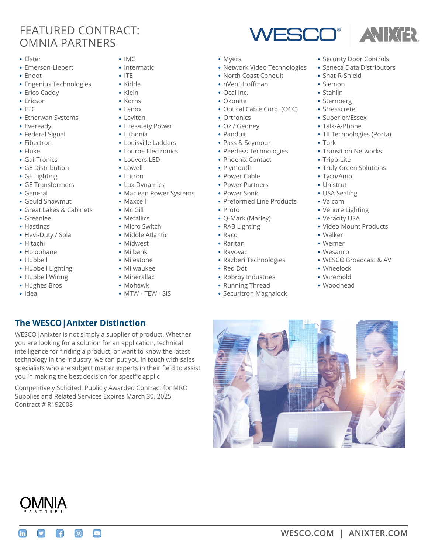## FEATURED CONTRACT: OMNIA PARTNERS

- **•** Elster
- **•** Emerson-Liebert
- **•** Endot
- **•** Engenius Technologies
- **•** Erico Caddy
- **•** Ericson
- **•** ETC
- **•** Etherwan Systems
- **•** Eveready
- **•** Federal Signal
- **•** Fibertron
- **•** Fluke
- **•** Gai-Tronics
- **•** GE Distribution
- **•** GE Lighting
- **•** GE Transformers
- **•** General
- **•** Gould Shawmut
- **•** Great Lakes & Cabinets
- **•** Greenlee
- **•** Hastings
- **•** Hevi-Duty / Sola
- **•** Hitachi
- **•** Holophane
- **•** Hubbell
- **•** Hubbell Lighting
- **•** Hubbell Wiring

Contract # R192008

m

A

ெ

 $\bm \Xi$ 

**The WESCO|Anixter Distinction**

you in making the best decision for specific applic

WESCO|Anixter is not simply a supplier of product. Whether you are looking for a solution for an application, technical intelligence for finding a product, or want to know the latest technology in the industry, we can put you in touch with sales specialists who are subject matter experts in their field to assist

Competitively Solicited, Publicly Awarded Contract for MRO Supplies and Related Services Expires March 30, 2025,

- **•** Hughes Bros
- **•** Ideal
- **•** IMC
- **•** Intermatic
- **•** ITE
- **•** Kidde
- **•** Klein
- **•** Korns
- **•** Lenox
- **•** Leviton
- **•** Lifesafety Power
- **•** Lithonia
- **•** Louisville Ladders
- **•** Louroe Electronics
- **•** Louvers LED
- **•** Lowell
- **•** Lutron
- **•** Lux Dynamics
- **•** Maclean Power Systems
- **•** Maxcell
- **•** Mc Gill
- **•** Metallics
- **•** Micro Switch
- **•** Middle Atlantic
- **•** Midwest
- **•** Milbank
- **•** Milestone
- **•** Milwaukee
- **•** Minerallac
- **•** Mohawk
	- **•** MTW TEW SIS
- **•** Myers
- **•** Network Video Technologies

WESCO

- **•** North Coast Conduit
- **•** nVent Hoffman
- **•** Ocal Inc.
- **•** Okonite
- **•** Optical Cable Corp. (OCC)
- **•** Ortronics
- **•** Oz / Gedney
- **•** Panduit
- **•** Pass & Seymour
- **•** Peerless Technologies
- **•** Phoenix Contact
- **•** Plymouth
- **•** Power Cable
- **•** Power Partners
- **•** Power Sonic
- **•** Preformed Line Products
- **•** Proto
- **•** Q-Mark (Marley)
- **•** RAB Lighting
- **•** Raco
- **•** Raritan
- **•** Rayovac
- **•** Razberi Technologies
- **•** Red Dot
- **•** Robroy Industries
- **•** Running Thread
- **•** Securitron Magnalock

**•** Security Door Controls

**ANIXER** 

- **•** Seneca Data Distributors
- **•** Shat-R-Shield
- **•** Siemon
- **•** Stahlin
- **•** Sternberg
- **•** Stresscrete
- **•** Superior/Essex
- **•** Talk-A-Phone
- **•** TII Technologies (Porta)
- **•** Tork

**•** Tripp-Lite

**•** Tyco/Amp **•** Unistrut **•** USA Sealing **•** Valcom

**•** Walker **•** Werner **•** Wesanco

**•** Wheelock **•** Wiremold **•** Woodhead

**•** Venure Lighting **•** Veracity USA

**•** Transition Networks

**•** Truly Green Solutions

**•** Video Mount Products

**•** WESCO Broadcast & AV

**[WESCO.COM](https://www.wesco.com/) | [ANIXTER.COM](https://www.anixter.com/)**